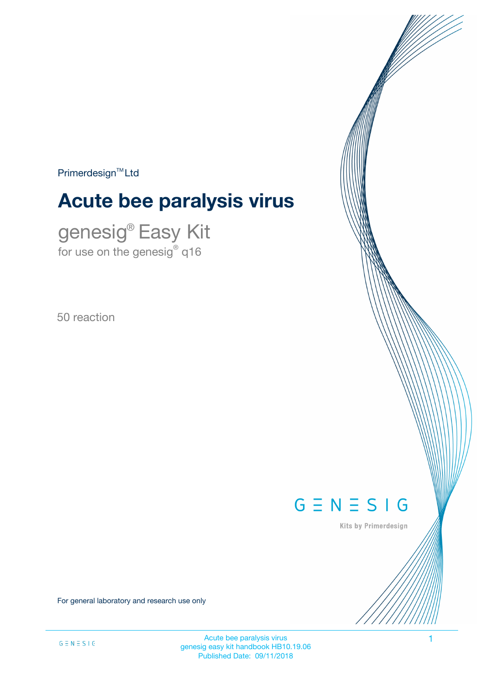$Primerdesign^{\text{TM}}$ Ltd

# **Acute bee paralysis virus**

genesig® Easy Kit for use on the genesig $^\circ$  q16

50 reaction



Kits by Primerdesign

For general laboratory and research use only

Acute bee paralysis virus and the state of the state of the state of the state of the state of the state of the state of the state of the state of the state of the state of the state of the state of the state of the state genesig easy kit handbook HB10.19.06 Published Date: 09/11/2018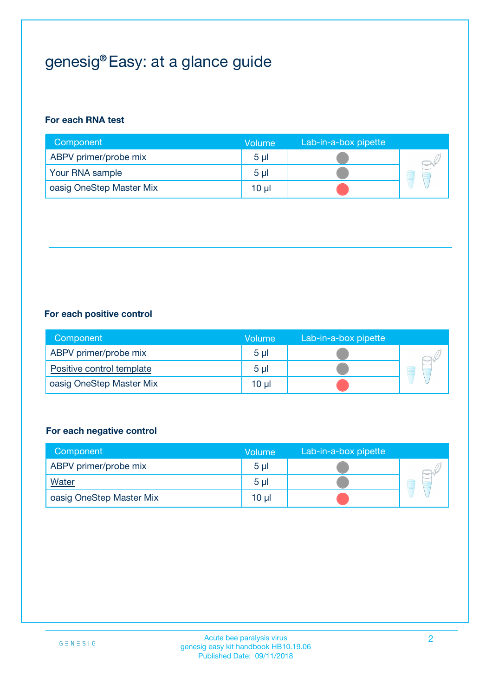## genesig® Easy: at a glance guide

#### **For each RNA test**

| Component                | <b>Volume</b>  | Lab-in-a-box pipette |  |
|--------------------------|----------------|----------------------|--|
| ABPV primer/probe mix    | 5 <sub>µ</sub> |                      |  |
| Your RNA sample          | 5 <sub>µ</sub> |                      |  |
| oasig OneStep Master Mix | 10 µl          |                      |  |

#### **For each positive control**

| Component                 | Volume         | Lab-in-a-box pipette |  |
|---------------------------|----------------|----------------------|--|
| ABPV primer/probe mix     | 5 <sub>µ</sub> |                      |  |
| Positive control template | 5 <sub>µ</sub> |                      |  |
| oasig OneStep Master Mix  | 10 µl          |                      |  |

#### **For each negative control**

| Component                | Volume         | Lab-in-a-box pipette |    |
|--------------------------|----------------|----------------------|----|
| ABPV primer/probe mix    | 5 <sub>µ</sub> |                      |    |
| Water                    | 5 <sub>µ</sub> |                      | ÷. |
| oasig OneStep Master Mix | 10 µl          |                      |    |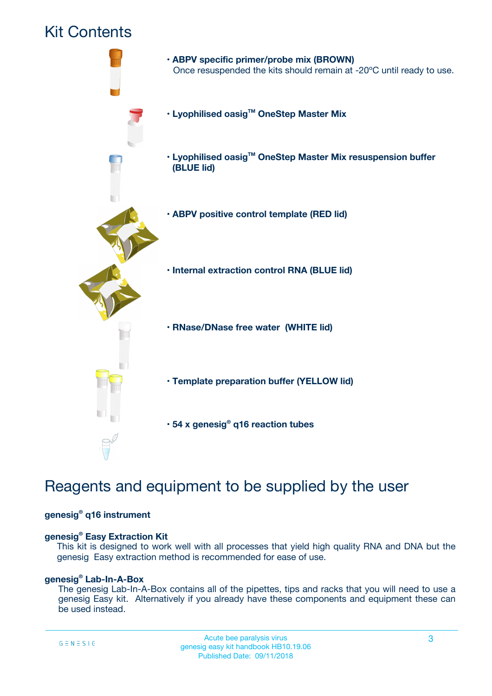### Kit Contents



## Reagents and equipment to be supplied by the user

#### **genesig® q16 instrument**

#### **genesig® Easy Extraction Kit**

This kit is designed to work well with all processes that yield high quality RNA and DNA but the genesig Easy extraction method is recommended for ease of use.

#### **genesig® Lab-In-A-Box**

The genesig Lab-In-A-Box contains all of the pipettes, tips and racks that you will need to use a genesig Easy kit. Alternatively if you already have these components and equipment these can be used instead.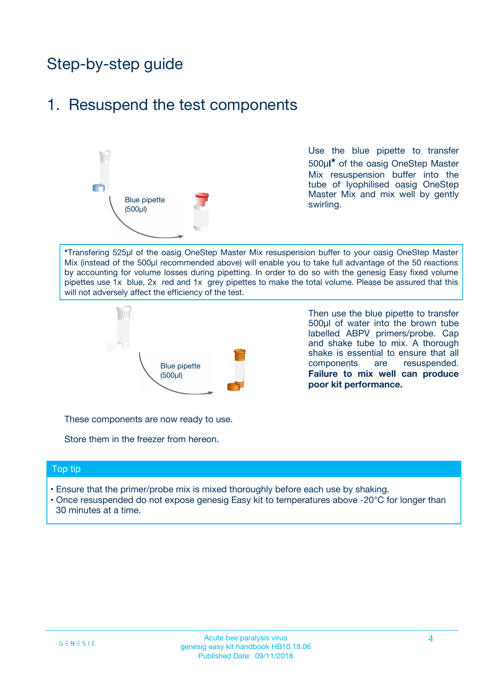## Step-by-step guide

### 1. Resuspend the test components



Use the blue pipette to transfer 500µ**l\*** of the oasig OneStep Master Mix resuspension buffer into the tube of lyophilised oasig OneStep Master Mix and mix well by gently swirling.

**\***Transfering 525µl of the oasig OneStep Master Mix resuspension buffer to your oasig OneStep Master Mix (instead of the 500µl recommended above) will enable you to take full advantage of the 50 reactions by accounting for volume losses during pipetting. In order to do so with the genesig Easy fixed volume pipettes use 1x blue, 2x red and 1x grey pipettes to make the total volume. Please be assured that this will not adversely affect the efficiency of the test.



Then use the blue pipette to transfer 500µl of water into the brown tube labelled ABPV primers/probe. Cap and shake tube to mix. A thorough shake is essential to ensure that all components are resuspended. **Failure to mix well can produce poor kit performance.**

These components are now ready to use.

Store them in the freezer from hereon.

#### Top tip

- Ensure that the primer/probe mix is mixed thoroughly before each use by shaking.
- Once resuspended do not expose genesig Easy kit to temperatures above -20°C for longer than 30 minutes at a time.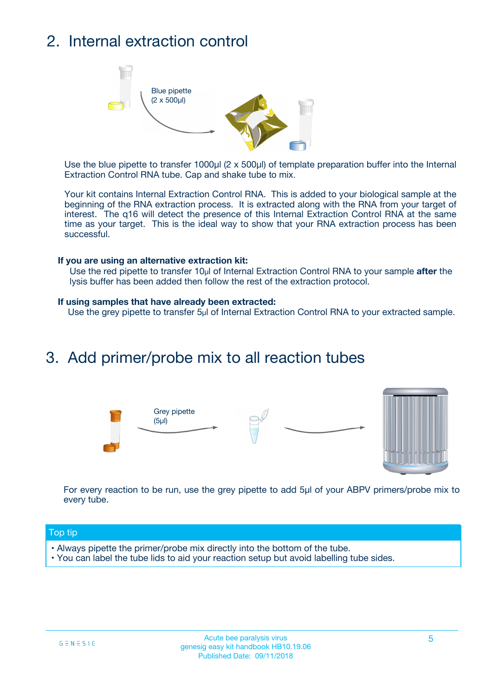## 2. Internal extraction control



Use the blue pipette to transfer 1000µl (2 x 500µl) of template preparation buffer into the Internal Extraction Control RNA tube. Cap and shake tube to mix.

Your kit contains Internal Extraction Control RNA. This is added to your biological sample at the beginning of the RNA extraction process. It is extracted along with the RNA from your target of interest. The q16 will detect the presence of this Internal Extraction Control RNA at the same time as your target. This is the ideal way to show that your RNA extraction process has been successful.

#### **If you are using an alternative extraction kit:**

Use the red pipette to transfer 10µl of Internal Extraction Control RNA to your sample **after** the lysis buffer has been added then follow the rest of the extraction protocol.

#### **If using samples that have already been extracted:**

Use the grey pipette to transfer 5µl of Internal Extraction Control RNA to your extracted sample.

### 3. Add primer/probe mix to all reaction tubes





For every reaction to be run, use the grey pipette to add 5µl of your ABPV primers/probe mix to every tube.

#### Top tip

- Always pipette the primer/probe mix directly into the bottom of the tube.
- You can label the tube lids to aid your reaction setup but avoid labelling tube sides.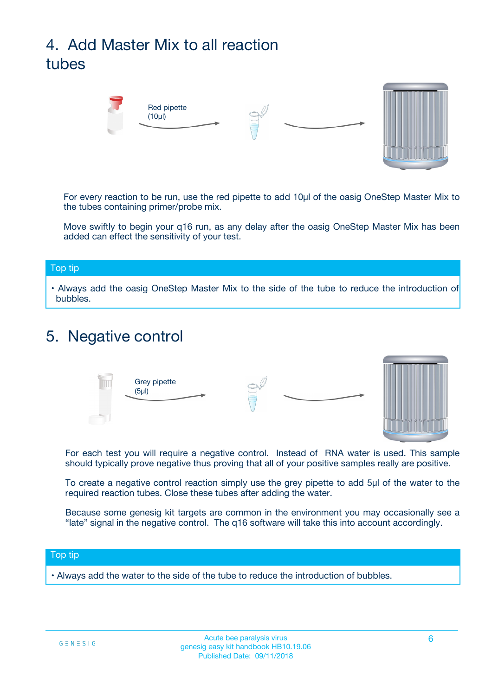## 4. Add Master Mix to all reaction tubes



For every reaction to be run, use the red pipette to add 10µl of the oasig OneStep Master Mix to the tubes containing primer/probe mix.

Move swiftly to begin your q16 run, as any delay after the oasig OneStep Master Mix has been added can effect the sensitivity of your test.

#### Top tip

**•** Always add the oasig OneStep Master Mix to the side of the tube to reduce the introduction of bubbles.

### 5. Negative control



For each test you will require a negative control. Instead of RNA water is used. This sample should typically prove negative thus proving that all of your positive samples really are positive.

To create a negative control reaction simply use the grey pipette to add 5µl of the water to the required reaction tubes. Close these tubes after adding the water.

Because some genesig kit targets are common in the environment you may occasionally see a "late" signal in the negative control. The q16 software will take this into account accordingly.

#### Top tip

**•** Always add the water to the side of the tube to reduce the introduction of bubbles.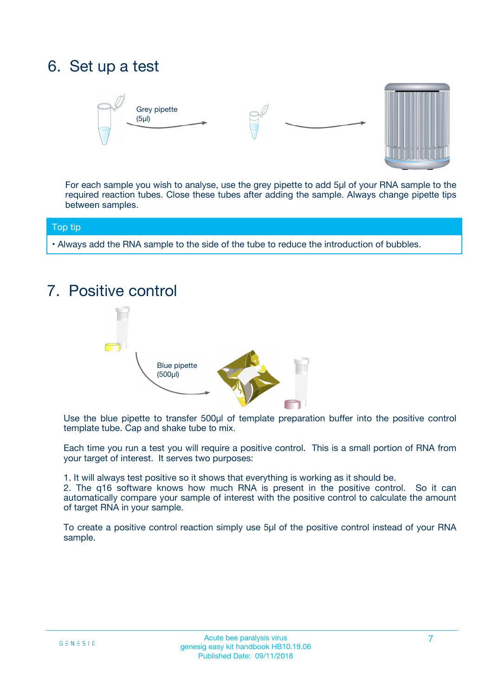## 6. Set up a test





For each sample you wish to analyse, use the grey pipette to add 5µl of your RNA sample to the required reaction tubes. Close these tubes after adding the sample. Always change pipette tips between samples.

#### Top tip

**•** Always add the RNA sample to the side of the tube to reduce the introduction of bubbles.

## 7. Positive control



Use the blue pipette to transfer 500µl of template preparation buffer into the positive control template tube. Cap and shake tube to mix.

Each time you run a test you will require a positive control. This is a small portion of RNA from your target of interest. It serves two purposes:

1. It will always test positive so it shows that everything is working as it should be.

2. The q16 software knows how much RNA is present in the positive control. So it can automatically compare your sample of interest with the positive control to calculate the amount of target RNA in your sample.

To create a positive control reaction simply use 5µl of the positive control instead of your RNA sample.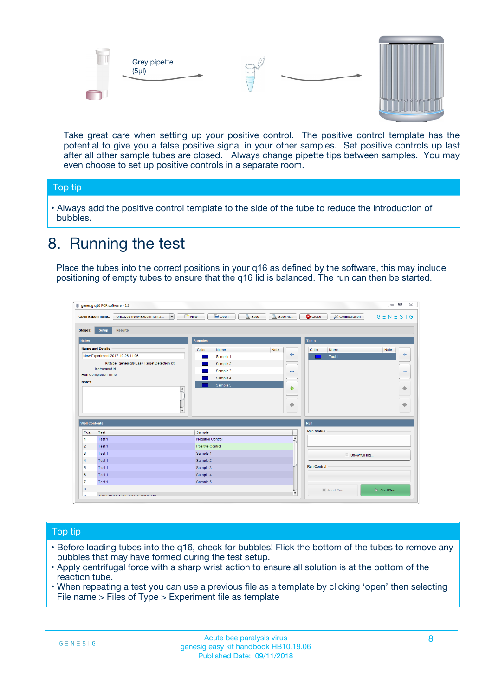



Take great care when setting up your positive control. The positive control template has the potential to give you a false positive signal in your other samples. Set positive controls up last after all other sample tubes are closed. Always change pipette tips between samples. You may even choose to set up positive controls in a separate room.

#### Top tip

**•** Always add the positive control template to the side of the tube to reduce the introduction of bubbles.

## 8. Running the test

Place the tubes into the correct positions in your q16 as defined by the software, this may include positioning of empty tubes to ensure that the q16 lid is balanced. The run can then be started.

|                                   | Unsaved (New Experiment 2<br>$\overline{\phantom{a}}$<br><b>Open Experiments:</b> | <b>E</b> Open<br>Save<br><b>New</b> | Save As          | <b>C</b> Close<br>& Configuration | $G \equiv N \equiv S \mid G$ |
|-----------------------------------|-----------------------------------------------------------------------------------|-------------------------------------|------------------|-----------------------------------|------------------------------|
| <b>Stages:</b>                    | Setup<br><b>Results</b>                                                           |                                     |                  |                                   |                              |
| <b>Notes</b>                      |                                                                                   | <b>Samples</b>                      |                  | <b>Tests</b>                      |                              |
|                                   | <b>Name and Details</b>                                                           | Color<br>Name                       | Note             | Color<br>Name                     | Note                         |
|                                   | New Experiment 2017-10-26 11:06                                                   | Sample 1                            | 4                | Test 1                            | 4                            |
|                                   | Kit type: genesig® Easy Target Detection kit                                      | Sample 2                            |                  |                                   |                              |
|                                   | Instrument Id.:                                                                   | Sample 3                            | $\equiv$         |                                   | $\equiv$                     |
|                                   | Run Completion Time:                                                              | Sample 4                            |                  |                                   |                              |
| <b>Notes</b>                      | $\blacktriangle$                                                                  | Sample 5                            | ♦                |                                   | 傦                            |
|                                   |                                                                                   |                                     |                  |                                   |                              |
|                                   | $\overline{\mathbf{v}}$                                                           |                                     | ÷                |                                   | ⊕                            |
|                                   | <b>Well Contents</b>                                                              |                                     |                  | Run                               |                              |
|                                   | Test                                                                              | Sample                              |                  | <b>Run Status</b>                 |                              |
|                                   |                                                                                   | Negative Control                    | $\blacktriangle$ |                                   |                              |
|                                   | Test 1                                                                            |                                     |                  |                                   |                              |
|                                   | Test 1                                                                            | Positive Control                    |                  |                                   |                              |
| Pos.<br>-1<br>$\overline{2}$<br>3 | Test 1                                                                            | Sample 1                            |                  |                                   |                              |
| $\overline{4}$                    | Test 1                                                                            | Sample 2                            |                  | Show full log                     |                              |
| 5                                 | Test 1                                                                            | Sample 3                            |                  | <b>Run Control</b>                |                              |
| 6                                 | Test 1                                                                            | Sample 4                            |                  |                                   |                              |
| $\overline{7}$                    | Test 1                                                                            | Sample 5                            |                  |                                   |                              |

#### Top tip

- Before loading tubes into the q16, check for bubbles! Flick the bottom of the tubes to remove any bubbles that may have formed during the test setup.
- Apply centrifugal force with a sharp wrist action to ensure all solution is at the bottom of the reaction tube.
- When repeating a test you can use a previous file as a template by clicking 'open' then selecting File name > Files of Type > Experiment file as template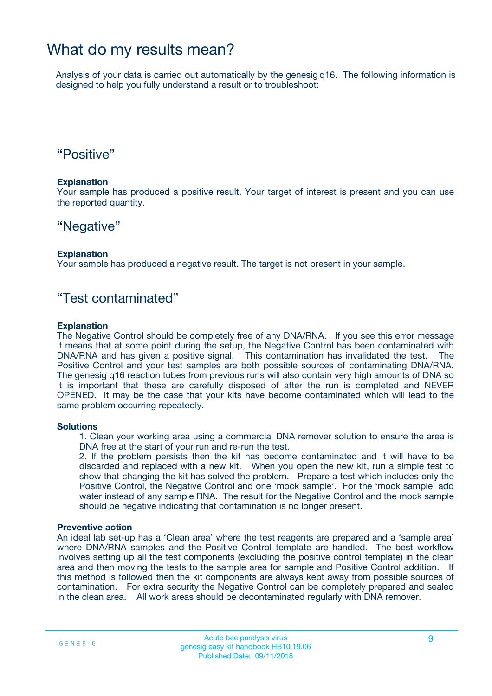### What do my results mean?

Analysis of your data is carried out automatically by the genesig q16. The following information is designed to help you fully understand a result or to troubleshoot:

### "Positive"

#### **Explanation**

Your sample has produced a positive result. Your target of interest is present and you can use the reported quantity.

### "Negative"

#### **Explanation**

Your sample has produced a negative result. The target is not present in your sample.

### "Test contaminated"

#### **Explanation**

The Negative Control should be completely free of any DNA/RNA. If you see this error message it means that at some point during the setup, the Negative Control has been contaminated with DNA/RNA and has given a positive signal. This contamination has invalidated the test. The Positive Control and your test samples are both possible sources of contaminating DNA/RNA. The genesig q16 reaction tubes from previous runs will also contain very high amounts of DNA so it is important that these are carefully disposed of after the run is completed and NEVER OPENED. It may be the case that your kits have become contaminated which will lead to the same problem occurring repeatedly.

#### **Solutions**

1. Clean your working area using a commercial DNA remover solution to ensure the area is DNA free at the start of your run and re-run the test.

2. If the problem persists then the kit has become contaminated and it will have to be discarded and replaced with a new kit. When you open the new kit, run a simple test to show that changing the kit has solved the problem. Prepare a test which includes only the Positive Control, the Negative Control and one 'mock sample'. For the 'mock sample' add water instead of any sample RNA. The result for the Negative Control and the mock sample should be negative indicating that contamination is no longer present.

#### **Preventive action**

An ideal lab set-up has a 'Clean area' where the test reagents are prepared and a 'sample area' where DNA/RNA samples and the Positive Control template are handled. The best workflow involves setting up all the test components (excluding the positive control template) in the clean area and then moving the tests to the sample area for sample and Positive Control addition. If this method is followed then the kit components are always kept away from possible sources of contamination. For extra security the Negative Control can be completely prepared and sealed in the clean area. All work areas should be decontaminated regularly with DNA remover.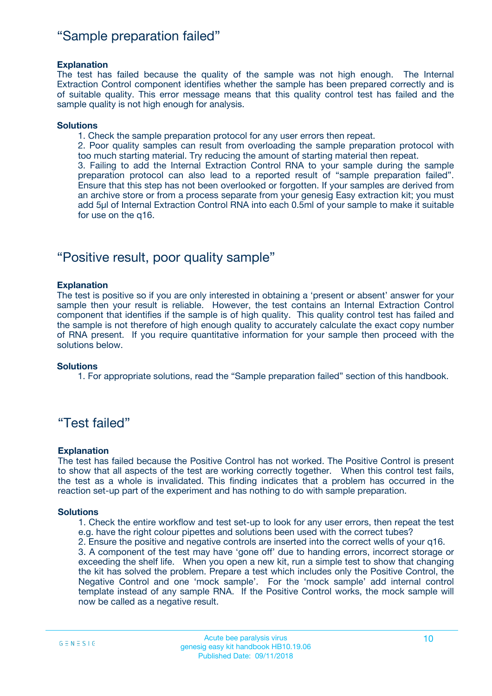### "Sample preparation failed"

#### **Explanation**

The test has failed because the quality of the sample was not high enough. The Internal Extraction Control component identifies whether the sample has been prepared correctly and is of suitable quality. This error message means that this quality control test has failed and the sample quality is not high enough for analysis.

#### **Solutions**

1. Check the sample preparation protocol for any user errors then repeat.

2. Poor quality samples can result from overloading the sample preparation protocol with too much starting material. Try reducing the amount of starting material then repeat.

3. Failing to add the Internal Extraction Control RNA to your sample during the sample preparation protocol can also lead to a reported result of "sample preparation failed". Ensure that this step has not been overlooked or forgotten. If your samples are derived from an archive store or from a process separate from your genesig Easy extraction kit; you must add 5µl of Internal Extraction Control RNA into each 0.5ml of your sample to make it suitable for use on the q16.

### "Positive result, poor quality sample"

#### **Explanation**

The test is positive so if you are only interested in obtaining a 'present or absent' answer for your sample then your result is reliable. However, the test contains an Internal Extraction Control component that identifies if the sample is of high quality. This quality control test has failed and the sample is not therefore of high enough quality to accurately calculate the exact copy number of RNA present. If you require quantitative information for your sample then proceed with the solutions below.

#### **Solutions**

1. For appropriate solutions, read the "Sample preparation failed" section of this handbook.

### "Test failed"

#### **Explanation**

The test has failed because the Positive Control has not worked. The Positive Control is present to show that all aspects of the test are working correctly together. When this control test fails, the test as a whole is invalidated. This finding indicates that a problem has occurred in the reaction set-up part of the experiment and has nothing to do with sample preparation.

#### **Solutions**

- 1. Check the entire workflow and test set-up to look for any user errors, then repeat the test e.g. have the right colour pipettes and solutions been used with the correct tubes?
- 2. Ensure the positive and negative controls are inserted into the correct wells of your q16.

3. A component of the test may have 'gone off' due to handing errors, incorrect storage or exceeding the shelf life. When you open a new kit, run a simple test to show that changing the kit has solved the problem. Prepare a test which includes only the Positive Control, the Negative Control and one 'mock sample'. For the 'mock sample' add internal control template instead of any sample RNA. If the Positive Control works, the mock sample will now be called as a negative result.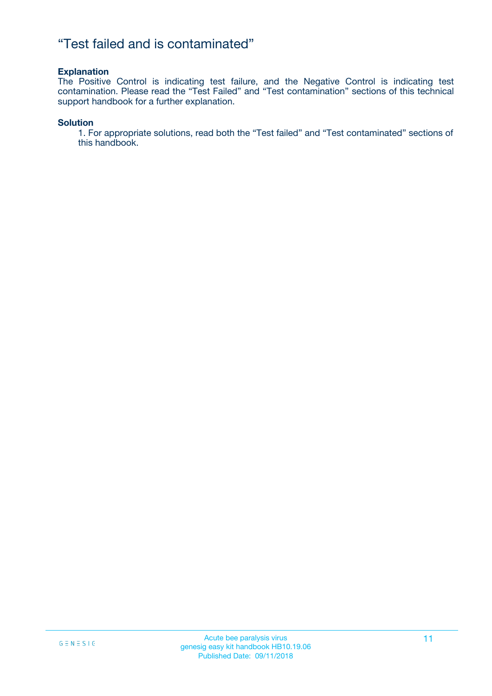### "Test failed and is contaminated"

#### **Explanation**

The Positive Control is indicating test failure, and the Negative Control is indicating test contamination. Please read the "Test Failed" and "Test contamination" sections of this technical support handbook for a further explanation.

#### **Solution**

1. For appropriate solutions, read both the "Test failed" and "Test contaminated" sections of this handbook.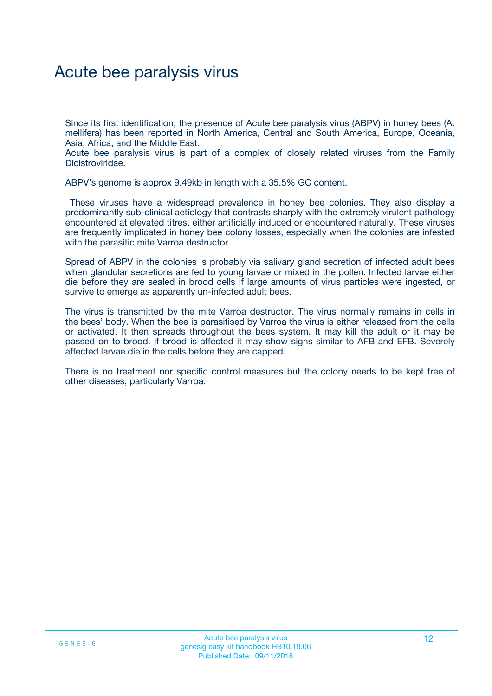## Acute bee paralysis virus

Since its first identification, the presence of Acute bee paralysis virus (ABPV) in honey bees (A. mellifera) has been reported in North America, Central and South America, Europe, Oceania, Asia, Africa, and the Middle East.

Acute bee paralysis virus is part of a complex of closely related viruses from the Family Dicistroviridae.

ABPV's genome is approx 9.49kb in length with a 35.5% GC content.

These viruses have a widespread prevalence in honey bee colonies. They also display a predominantly sub-clinical aetiology that contrasts sharply with the extremely virulent pathology encountered at elevated titres, either artificially induced or encountered naturally. These viruses are frequently implicated in honey bee colony losses, especially when the colonies are infested with the parasitic mite Varroa destructor.

Spread of ABPV in the colonies is probably via salivary gland secretion of infected adult bees when glandular secretions are fed to young larvae or mixed in the pollen. Infected larvae either die before they are sealed in brood cells if large amounts of virus particles were ingested, or survive to emerge as apparently un-infected adult bees.

The virus is transmitted by the mite Varroa destructor. The virus normally remains in cells in the bees' body. When the bee is parasitised by Varroa the virus is either released from the cells or activated. It then spreads throughout the bees system. It may kill the adult or it may be passed on to brood. If brood is affected it may show signs similar to AFB and EFB. Severely affected larvae die in the cells before they are capped.

There is no treatment nor specific control measures but the colony needs to be kept free of other diseases, particularly Varroa.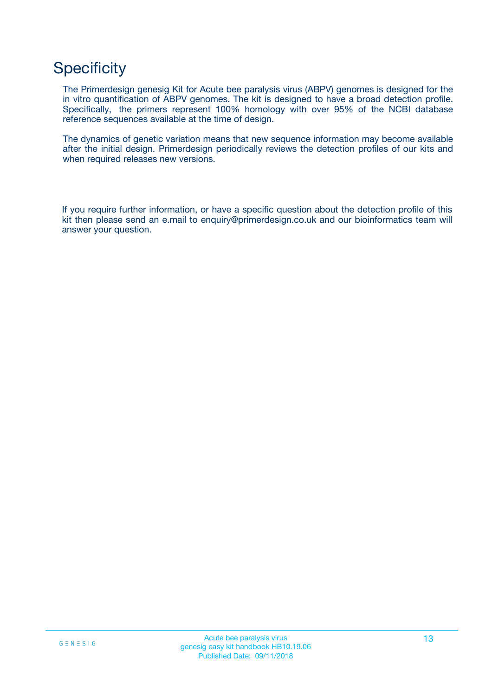## **Specificity**

The Primerdesign genesig Kit for Acute bee paralysis virus (ABPV) genomes is designed for the in vitro quantification of ABPV genomes. The kit is designed to have a broad detection profile. Specifically, the primers represent 100% homology with over 95% of the NCBI database reference sequences available at the time of design.

The dynamics of genetic variation means that new sequence information may become available after the initial design. Primerdesign periodically reviews the detection profiles of our kits and when required releases new versions.

If you require further information, or have a specific question about the detection profile of this kit then please send an e.mail to enquiry@primerdesign.co.uk and our bioinformatics team will answer your question.